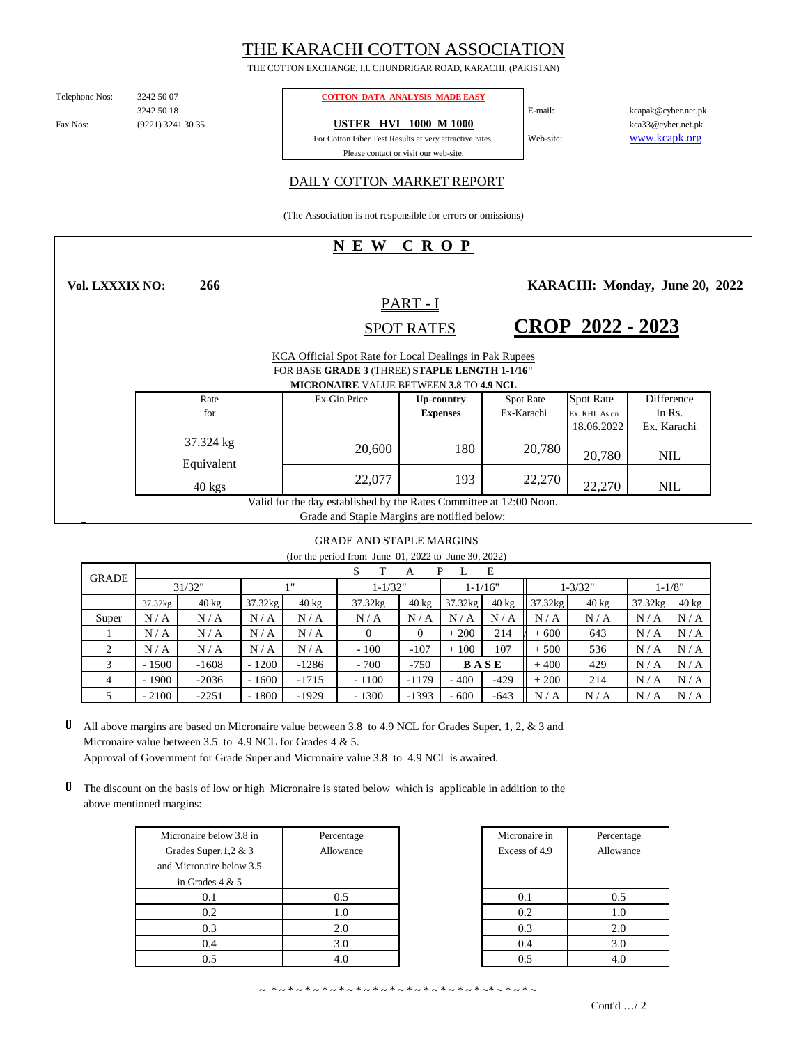# THE KARACHI COTTON ASSOCIATION

THE COTTON EXCHANGE, I,I. CHUNDRIGAR ROAD, KARACHI. (PAKISTAN)

Fax Nos: 3242 50 18 E-mail:

Telephone Nos: 3242 50 07 **COTTON DATA ANALYSIS MADE EASY** 

(9221) 3241 30 35 **USTER HVI 1000 M 1000**

Please contact or visit our web-site. For Cotton Fiber Test Results at very attractive rates.

kcapak@cyber.net.pk Web-site: www.kcapk.org kca33@cyber.net.pk

### DAILY COTTON MARKET REPORT

(The Association is not responsible for errors or omissions)

## **N E W C R O P**

**266 Vol. LXXXIX NO:**

**KARACHI: Monday, June 20, 2022** 

# SPOT RATES PART - I

**CROP 2022 - 2023**

|                         |                                                                     |              | 51.111                                                                                                                                                      |                  |                  |             |
|-------------------------|---------------------------------------------------------------------|--------------|-------------------------------------------------------------------------------------------------------------------------------------------------------------|------------------|------------------|-------------|
|                         |                                                                     |              | KCA Official Spot Rate for Local Dealings in Pak Rupees<br>FOR BASE GRADE 3 (THREE) STAPLE LENGTH 1-1/16"<br><b>MICRONAIRE VALUE BETWEEN 3.8 TO 4.9 NCL</b> |                  |                  |             |
| Rate                    |                                                                     | Ex-Gin Price | Up-country                                                                                                                                                  | <b>Spot Rate</b> | <b>Spot Rate</b> | Difference  |
| for                     |                                                                     |              | <b>Expenses</b>                                                                                                                                             | Ex-Karachi       | Ex. KHI. As on   | In Rs.      |
|                         |                                                                     |              |                                                                                                                                                             |                  | 18.06.2022       | Ex. Karachi |
| 37.324 kg<br>Equivalent |                                                                     | 20,600       | 180                                                                                                                                                         | 20,780           | 20,780           | <b>NIL</b>  |
| $40 \text{ kgs}$        |                                                                     | 22,077       | 193                                                                                                                                                         | 22,270           | 22,270           | <b>NIL</b>  |
|                         | Valid for the day established by the Rates Committee at 12:00 Noon. |              |                                                                                                                                                             |                  |                  |             |

Grade and Staple Margins are notified below:

#### GRADE AND STAPLE MARGINS

(for the period from June 01, 2022 to June 30, 2022)

| $\sim$ $\sim$ $\sim$ $\sim$ $\sim$ $\sim$ $\sim$ $\sim$ |             |                 |                    |                 |             |                 |             |                 |              |                 |           |                 |
|---------------------------------------------------------|-------------|-----------------|--------------------|-----------------|-------------|-----------------|-------------|-----------------|--------------|-----------------|-----------|-----------------|
| <b>GRADE</b>                                            | E<br>P<br>А |                 |                    |                 |             |                 |             |                 |              |                 |           |                 |
|                                                         | 31/32"      |                 | 111<br>$1 - 1/32"$ |                 | $1 - 1/16"$ |                 | $1 - 3/32"$ |                 | $1 - 1/8"$   |                 |           |                 |
|                                                         | 37.32kg     | $40 \text{ kg}$ | 37.32kg            | $40 \text{ kg}$ | 37.32kg     | $40 \text{ kg}$ | $37.32$ kg  | $40 \text{ kg}$ | $37.32$ $kg$ | $40 \text{ kg}$ | 37.32kg   | $40 \text{ kg}$ |
| Super                                                   | N/A         | N/A             | N/A                | N/A             | N/A         | N/A             | N/A         | N/A             | N/A          | N/A             | N/A       | N/A             |
|                                                         | N/A         | N/A             | N/A                | N/A             | $\theta$    | 0               | $+200$      | 214             | $+600$       | 643             | N/<br>′ A | N/A             |
| 2                                                       | N/A         | N/A             | N/A                | N/A             | $-100$      | $-107$          | $+100$      | 107             | $+500$       | 536             | N/<br>΄ A | N/A             |
| 3                                                       | $-1500$     | $-1608$         | $-1200$            | $-1286$         | $-700$      | $-750$          |             | <b>BASE</b>     | $+400$       | 429             | N/<br>΄ A | N/A             |
| 4                                                       | $-1900$     | $-2036$         | $-1600$            | $-1715$         | $-1100$     | $-1179$         | $-400$      | $-429$          | $+200$       | 214             | N/A       | N/A             |
|                                                         | $-2100$     | $-2251$         | $-1800$            | $-1929$         | $-1300$     | $-1393$         | $-600$      | $-643$          | N/A          | N/A             | N/<br>΄ A | N/A             |

 $\mathbf 0$ All above margins are based on Micronaire value between 3.8 to 4.9 NCL for Grades Super, 1, 2, & 3 and Micronaire value between 3.5 to 4.9 NCL for Grades 4 & 5. Approval of Government for Grade Super and Micronaire value 3.8 to 4.9 NCL is awaited.

The discount on the basis of low or high Micronaire is stated below which is applicable in addition to the above mentioned margins:

| Micronaire below 3.8 in  | Percentage | Micronaire in | Percentage |
|--------------------------|------------|---------------|------------|
| Grades Super, $1,2 \& 3$ | Allowance  | Excess of 4.9 | Allowance  |
| and Micronaire below 3.5 |            |               |            |
| in Grades $4 & 5$        |            |               |            |
| 0.1                      | 0.5        | 0.1           | 0.5        |
| 0.2                      | 1.0        | 0.2           | 1.0        |
| 0.3                      | 2.0        | 0.3           | 2.0        |
| 0.4                      | 3.0        | 0.4           | 3.0        |
| 0.5                      | 4.0        | 0.5           | 4.0        |

| Micronaire in | Percentage |  |  |  |  |
|---------------|------------|--|--|--|--|
| Excess of 4.9 | Allowance  |  |  |  |  |
|               |            |  |  |  |  |
|               |            |  |  |  |  |
| 0.1           | 0.5        |  |  |  |  |
| 0.2           | 1.0        |  |  |  |  |
| 0.3           | 2.0        |  |  |  |  |
| 0.4           | 3.0        |  |  |  |  |
|               |            |  |  |  |  |